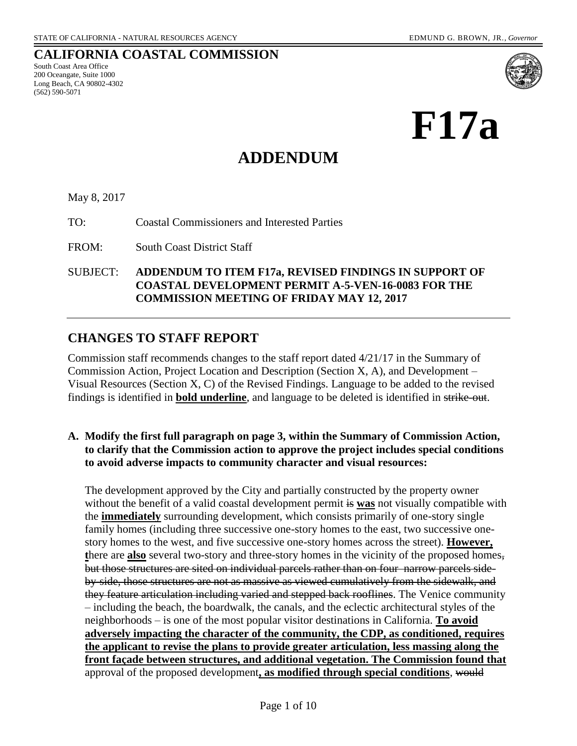**CALIFORNIA COASTAL COMMISSION**

South Coast Area Office 200 Oceangate, Suite 1000 Long Beach, CA 90802-4302 (562) 590-5071



# **ADDENDUM**

#### May 8, 2017

TO: Coastal Commissioners and Interested Parties

FROM: South Coast District Staff

SUBJECT: **ADDENDUM TO ITEM F17a, REVISED FINDINGS IN SUPPORT OF COASTAL DEVELOPMENT PERMIT A-5-VEN-16-0083 FOR THE COMMISSION MEETING OF FRIDAY MAY 12, 2017**

## **CHANGES TO STAFF REPORT**

Commission staff recommends changes to the staff report dated 4/21/17 in the Summary of Commission Action, Project Location and Description (Section X, A), and Development – Visual Resources (Section X, C) of the Revised Findings. Language to be added to the revised findings is identified in **bold underline**, and language to be deleted is identified in strike-out.

#### **A. Modify the first full paragraph on page 3, within the Summary of Commission Action, to clarify that the Commission action to approve the project includes special conditions to avoid adverse impacts to community character and visual resources:**

The development approved by the City and partially constructed by the property owner without the benefit of a valid coastal development permit is **was** not visually compatible with the **immediately** surrounding development, which consists primarily of one-story single family homes (including three successive one-story homes to the east, two successive onestory homes to the west, and five successive one-story homes across the street). **However, t**here are **also** several two-story and three-story homes in the vicinity of the proposed homes, but those structures are sited on individual parcels rather than on four narrow parcels sideby-side, those structures are not as massive as viewed cumulatively from the sidewalk, and they feature articulation including varied and stepped back rooflines. The Venice community – including the beach, the boardwalk, the canals, and the eclectic architectural styles of the neighborhoods – is one of the most popular visitor destinations in California. **To avoid adversely impacting the character of the community, the CDP, as conditioned, requires the applicant to revise the plans to provide greater articulation, less massing along the front façade between structures, and additional vegetation. The Commission found that**  approval of the proposed development**, as modified through special conditions**, would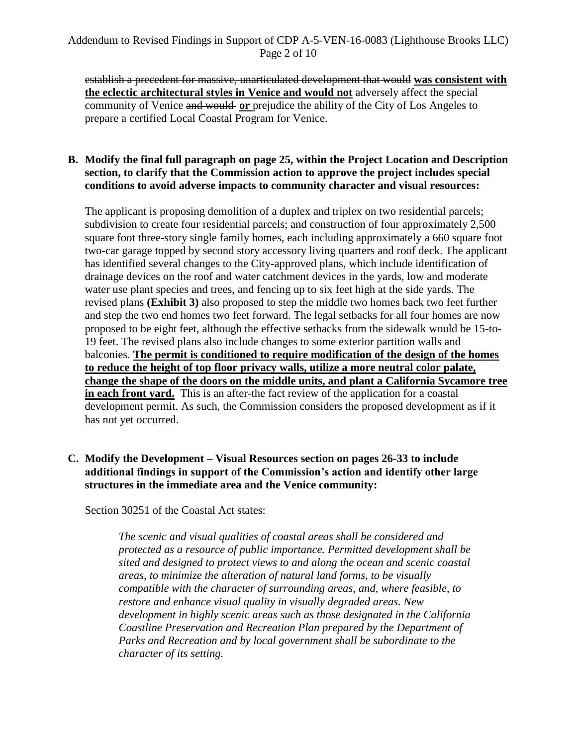### Addendum to Revised Findings in Support of CDP A-5-VEN-16-0083 (Lighthouse Brooks LLC) Page 2 of 10

establish a precedent for massive, unarticulated development that would **was consistent with the eclectic architectural styles in Venice and would not** adversely affect the special community of Venice and would or prejudice the ability of the City of Los Angeles to prepare a certified Local Coastal Program for Venice.

#### **B. Modify the final full paragraph on page 25, within the Project Location and Description section, to clarify that the Commission action to approve the project includes special conditions to avoid adverse impacts to community character and visual resources:**

The applicant is proposing demolition of a duplex and triplex on two residential parcels; subdivision to create four residential parcels; and construction of four approximately 2,500 square foot three-story single family homes, each including approximately a 660 square foot two-car garage topped by second story accessory living quarters and roof deck. The applicant has identified several changes to the City-approved plans, which include identification of drainage devices on the roof and water catchment devices in the yards, low and moderate water use plant species and trees, and fencing up to six feet high at the side yards. The revised plans **(Exhibit 3)** also proposed to step the middle two homes back two feet further and step the two end homes two feet forward. The legal setbacks for all four homes are now proposed to be eight feet, although the effective setbacks from the sidewalk would be 15-to-19 feet. The revised plans also include changes to some exterior partition walls and balconies. **The permit is conditioned to require modification of the design of the homes to reduce the height of top floor privacy walls, utilize a more neutral color palate, change the shape of the doors on the middle units, and plant a California Sycamore tree in each front yard.** This is an after-the fact review of the application for a coastal development permit. As such, the Commission considers the proposed development as if it has not yet occurred.

#### **C. Modify the Development – Visual Resources section on pages 26-33 to include additional findings in support of the Commission's action and identify other large structures in the immediate area and the Venice community:**

Section 30251 of the Coastal Act states:

*The scenic and visual qualities of coastal areas shall be considered and protected as a resource of public importance. Permitted development shall be sited and designed to protect views to and along the ocean and scenic coastal areas, to minimize the alteration of natural land forms, to be visually compatible with the character of surrounding areas, and, where feasible, to restore and enhance visual quality in visually degraded areas. New development in highly scenic areas such as those designated in the California Coastline Preservation and Recreation Plan prepared by the Department of Parks and Recreation and by local government shall be subordinate to the character of its setting.*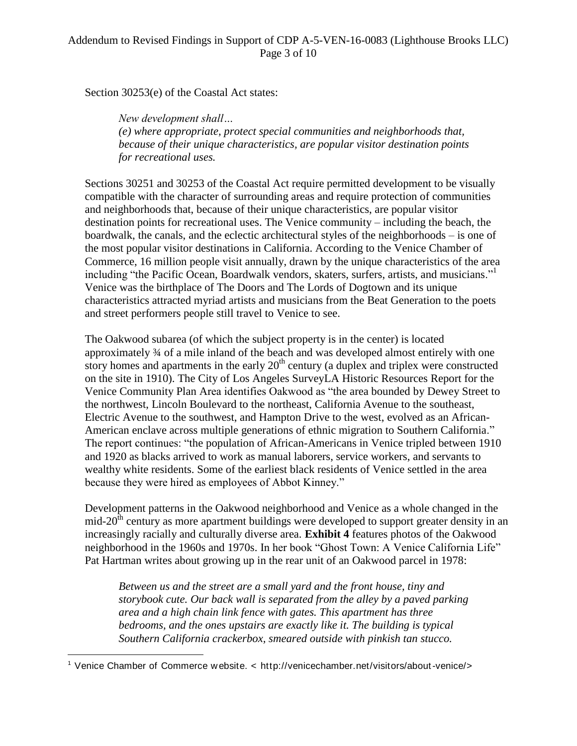Section 30253(e) of the Coastal Act states:

*New development shall… (e) where appropriate, protect special communities and neighborhoods that, because of their unique characteristics, are popular visitor destination points for recreational uses.* 

Sections 30251 and 30253 of the Coastal Act require permitted development to be visually compatible with the character of surrounding areas and require protection of communities and neighborhoods that, because of their unique characteristics, are popular visitor destination points for recreational uses. The Venice community – including the beach, the boardwalk, the canals, and the eclectic architectural styles of the neighborhoods – is one of the most popular visitor destinations in California. According to the Venice Chamber of Commerce, 16 million people visit annually, drawn by the unique characteristics of the area including "the Pacific Ocean, Boardwalk vendors, skaters, surfers, artists, and musicians."<sup>1</sup> Venice was the birthplace of The Doors and The Lords of Dogtown and its unique characteristics attracted myriad artists and musicians from the Beat Generation to the poets and street performers people still travel to Venice to see.

The Oakwood subarea (of which the subject property is in the center) is located approximately ¾ of a mile inland of the beach and was developed almost entirely with one story homes and apartments in the early  $20<sup>th</sup>$  century (a duplex and triplex were constructed on the site in 1910). The City of Los Angeles SurveyLA Historic Resources Report for the Venice Community Plan Area identifies Oakwood as "the area bounded by Dewey Street to the northwest, Lincoln Boulevard to the northeast, California Avenue to the southeast, Electric Avenue to the southwest, and Hampton Drive to the west, evolved as an African-American enclave across multiple generations of ethnic migration to Southern California." The report continues: "the population of African-Americans in Venice tripled between 1910 and 1920 as blacks arrived to work as manual laborers, service workers, and servants to wealthy white residents. Some of the earliest black residents of Venice settled in the area because they were hired as employees of Abbot Kinney."

Development patterns in the Oakwood neighborhood and Venice as a whole changed in the  $mid-20<sup>th</sup>$  century as more apartment buildings were developed to support greater density in an increasingly racially and culturally diverse area. **Exhibit 4** features photos of the Oakwood neighborhood in the 1960s and 1970s. In her book "Ghost Town: A Venice California Life" Pat Hartman writes about growing up in the rear unit of an Oakwood parcel in 1978:

*Between us and the street are a small yard and the front house, tiny and storybook cute. Our back wall is separated from the alley by a paved parking area and a high chain link fence with gates. This apartment has three bedrooms, and the ones upstairs are exactly like it. The building is typical Southern California crackerbox, smeared outside with pinkish tan stucco.* 

 $\overline{a}$ 

<sup>1</sup> Venice Chamber of Commerce w ebsite. < http://venicechamber.net/visitors/about-venice/>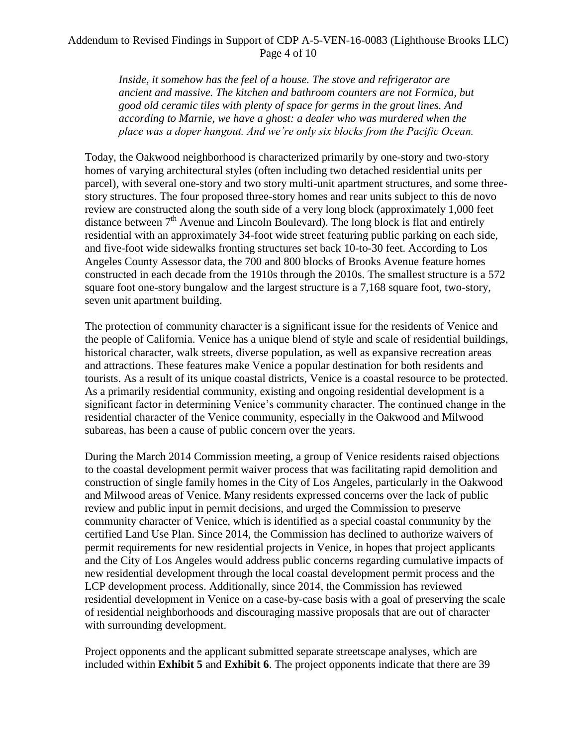### Addendum to Revised Findings in Support of CDP A-5-VEN-16-0083 (Lighthouse Brooks LLC) Page 4 of 10

*Inside, it somehow has the feel of a house. The stove and refrigerator are ancient and massive. The kitchen and bathroom counters are not Formica, but good old ceramic tiles with plenty of space for germs in the grout lines. And according to Marnie, we have a ghost: a dealer who was murdered when the place was a doper hangout. And we're only six blocks from the Pacific Ocean.*

Today, the Oakwood neighborhood is characterized primarily by one-story and two-story homes of varying architectural styles (often including two detached residential units per parcel), with several one-story and two story multi-unit apartment structures, and some threestory structures. The four proposed three-story homes and rear units subject to this de novo review are constructed along the south side of a very long block (approximately 1,000 feet distance between  $7<sup>th</sup>$  Avenue and Lincoln Boulevard). The long block is flat and entirely residential with an approximately 34-foot wide street featuring public parking on each side, and five-foot wide sidewalks fronting structures set back 10-to-30 feet. According to Los Angeles County Assessor data, the 700 and 800 blocks of Brooks Avenue feature homes constructed in each decade from the 1910s through the 2010s. The smallest structure is a 572 square foot one-story bungalow and the largest structure is a 7,168 square foot, two-story, seven unit apartment building.

The protection of community character is a significant issue for the residents of Venice and the people of California. Venice has a unique blend of style and scale of residential buildings, historical character, walk streets, diverse population, as well as expansive recreation areas and attractions. These features make Venice a popular destination for both residents and tourists. As a result of its unique coastal districts, Venice is a coastal resource to be protected. As a primarily residential community, existing and ongoing residential development is a significant factor in determining Venice's community character. The continued change in the residential character of the Venice community, especially in the Oakwood and Milwood subareas, has been a cause of public concern over the years.

During the March 2014 Commission meeting, a group of Venice residents raised objections to the coastal development permit waiver process that was facilitating rapid demolition and construction of single family homes in the City of Los Angeles, particularly in the Oakwood and Milwood areas of Venice. Many residents expressed concerns over the lack of public review and public input in permit decisions, and urged the Commission to preserve community character of Venice, which is identified as a special coastal community by the certified Land Use Plan. Since 2014, the Commission has declined to authorize waivers of permit requirements for new residential projects in Venice, in hopes that project applicants and the City of Los Angeles would address public concerns regarding cumulative impacts of new residential development through the local coastal development permit process and the LCP development process. Additionally, since 2014, the Commission has reviewed residential development in Venice on a case-by-case basis with a goal of preserving the scale of residential neighborhoods and discouraging massive proposals that are out of character with surrounding development.

Project opponents and the applicant submitted separate streetscape analyses, which are included within **Exhibit 5** and **Exhibit 6**. The project opponents indicate that there are 39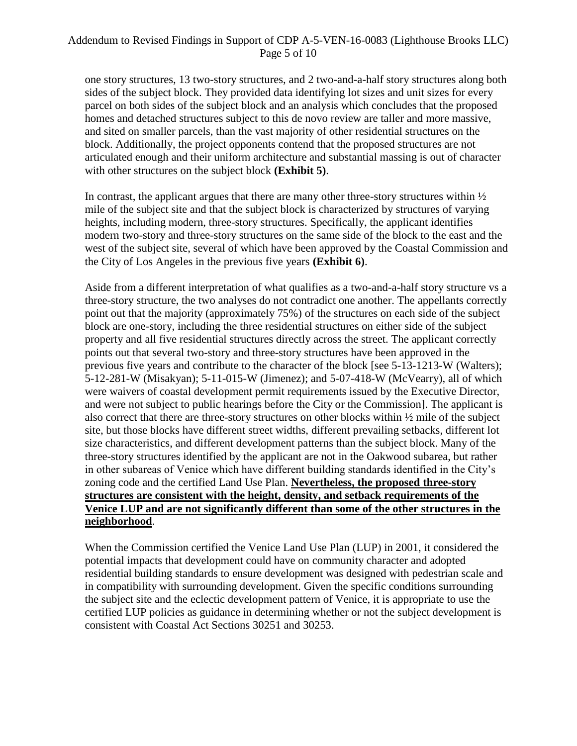### Addendum to Revised Findings in Support of CDP A-5-VEN-16-0083 (Lighthouse Brooks LLC) Page 5 of 10

one story structures, 13 two-story structures, and 2 two-and-a-half story structures along both sides of the subject block. They provided data identifying lot sizes and unit sizes for every parcel on both sides of the subject block and an analysis which concludes that the proposed homes and detached structures subject to this de novo review are taller and more massive, and sited on smaller parcels, than the vast majority of other residential structures on the block. Additionally, the project opponents contend that the proposed structures are not articulated enough and their uniform architecture and substantial massing is out of character with other structures on the subject block **(Exhibit 5)**.

In contrast, the applicant argues that there are many other three-story structures within  $\frac{1}{2}$ mile of the subject site and that the subject block is characterized by structures of varying heights, including modern, three-story structures. Specifically, the applicant identifies modern two-story and three-story structures on the same side of the block to the east and the west of the subject site, several of which have been approved by the Coastal Commission and the City of Los Angeles in the previous five years **(Exhibit 6)**.

Aside from a different interpretation of what qualifies as a two-and-a-half story structure vs a three-story structure, the two analyses do not contradict one another. The appellants correctly point out that the majority (approximately 75%) of the structures on each side of the subject block are one-story, including the three residential structures on either side of the subject property and all five residential structures directly across the street. The applicant correctly points out that several two-story and three-story structures have been approved in the previous five years and contribute to the character of the block [see 5-13-1213-W (Walters); 5-12-281-W (Misakyan); 5-11-015-W (Jimenez); and 5-07-418-W (McVearry), all of which were waivers of coastal development permit requirements issued by the Executive Director, and were not subject to public hearings before the City or the Commission]. The applicant is also correct that there are three-story structures on other blocks within ½ mile of the subject site, but those blocks have different street widths, different prevailing setbacks, different lot size characteristics, and different development patterns than the subject block. Many of the three-story structures identified by the applicant are not in the Oakwood subarea, but rather in other subareas of Venice which have different building standards identified in the City's zoning code and the certified Land Use Plan. **Nevertheless, the proposed three-story structures are consistent with the height, density, and setback requirements of the Venice LUP and are not significantly different than some of the other structures in the neighborhood**.

When the Commission certified the Venice Land Use Plan (LUP) in 2001, it considered the potential impacts that development could have on community character and adopted residential building standards to ensure development was designed with pedestrian scale and in compatibility with surrounding development. Given the specific conditions surrounding the subject site and the eclectic development pattern of Venice, it is appropriate to use the certified LUP policies as guidance in determining whether or not the subject development is consistent with Coastal Act Sections 30251 and 30253.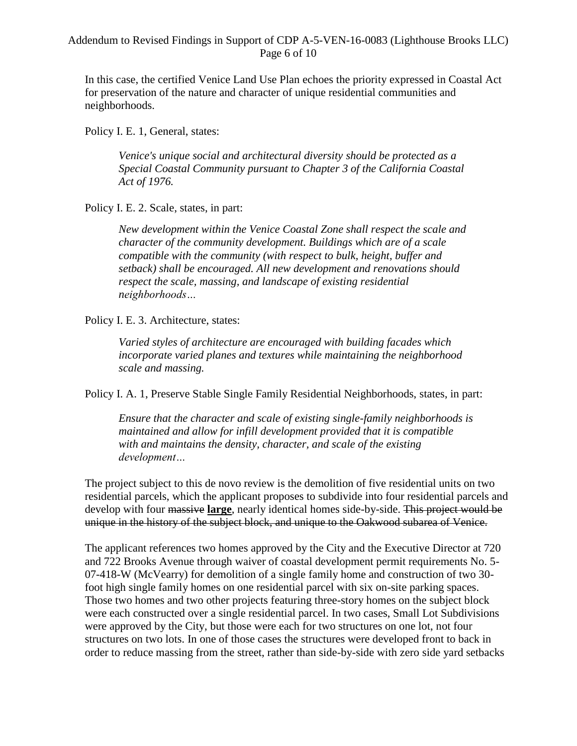In this case, the certified Venice Land Use Plan echoes the priority expressed in Coastal Act for preservation of the nature and character of unique residential communities and neighborhoods.

Policy I. E. 1, General, states:

*Venice's unique social and architectural diversity should be protected as a Special Coastal Community pursuant to Chapter 3 of the California Coastal Act of 1976.*

Policy I. E. 2. Scale, states, in part:

*New development within the Venice Coastal Zone shall respect the scale and character of the community development. Buildings which are of a scale compatible with the community (with respect to bulk, height, buffer and setback) shall be encouraged. All new development and renovations should respect the scale, massing, and landscape of existing residential neighborhoods…*

Policy I. E. 3. Architecture, states:

*Varied styles of architecture are encouraged with building facades which incorporate varied planes and textures while maintaining the neighborhood scale and massing.* 

Policy I. A. 1, Preserve Stable Single Family Residential Neighborhoods, states, in part:

*Ensure that the character and scale of existing single-family neighborhoods is maintained and allow for infill development provided that it is compatible with and maintains the density, character, and scale of the existing development…*

The project subject to this de novo review is the demolition of five residential units on two residential parcels, which the applicant proposes to subdivide into four residential parcels and develop with four massive **large**, nearly identical homes side-by-side. This project would be unique in the history of the subject block, and unique to the Oakwood subarea of Venice.

The applicant references two homes approved by the City and the Executive Director at 720 and 722 Brooks Avenue through waiver of coastal development permit requirements No. 5- 07-418-W (McVearry) for demolition of a single family home and construction of two 30 foot high single family homes on one residential parcel with six on-site parking spaces. Those two homes and two other projects featuring three-story homes on the subject block were each constructed over a single residential parcel. In two cases, Small Lot Subdivisions were approved by the City, but those were each for two structures on one lot, not four structures on two lots. In one of those cases the structures were developed front to back in order to reduce massing from the street, rather than side-by-side with zero side yard setbacks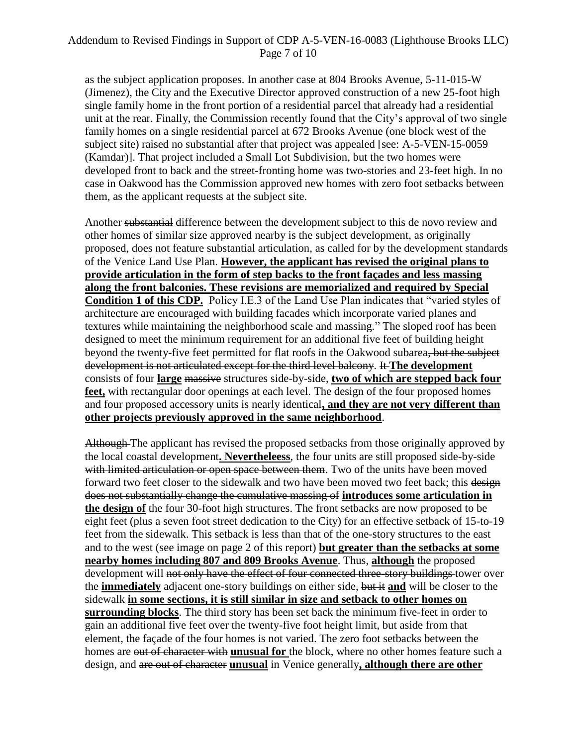as the subject application proposes. In another case at 804 Brooks Avenue, 5-11-015-W (Jimenez), the City and the Executive Director approved construction of a new 25-foot high single family home in the front portion of a residential parcel that already had a residential unit at the rear. Finally, the Commission recently found that the City's approval of two single family homes on a single residential parcel at 672 Brooks Avenue (one block west of the subject site) raised no substantial after that project was appealed [see: A-5-VEN-15-0059 (Kamdar)]. That project included a Small Lot Subdivision, but the two homes were developed front to back and the street-fronting home was two-stories and 23-feet high. In no case in Oakwood has the Commission approved new homes with zero foot setbacks between them, as the applicant requests at the subject site.

Another substantial difference between the development subject to this de novo review and other homes of similar size approved nearby is the subject development, as originally proposed, does not feature substantial articulation, as called for by the development standards of the Venice Land Use Plan. **However, the applicant has revised the original plans to provide articulation in the form of step backs to the front façades and less massing along the front balconies. These revisions are memorialized and required by Special Condition 1 of this CDP.** Policy I.E.3 of the Land Use Plan indicates that "varied styles of architecture are encouraged with building facades which incorporate varied planes and textures while maintaining the neighborhood scale and massing." The sloped roof has been designed to meet the minimum requirement for an additional five feet of building height beyond the twenty-five feet permitted for flat roofs in the Oakwood subarea, but the subject development is not articulated except for the third level balcony. It **The development** consists of four **large** massive structures side-by-side, **two of which are stepped back four feet,** with rectangular door openings at each level. The design of the four proposed homes and four proposed accessory units is nearly identical**, and they are not very different than other projects previously approved in the same neighborhood**.

Although The applicant has revised the proposed setbacks from those originally approved by the local coastal development**. Nevertheleess**, the four units are still proposed side-by-side with limited articulation or open space between them. Two of the units have been moved forward two feet closer to the sidewalk and two have been moved two feet back; this design does not substantially change the cumulative massing of **introduces some articulation in the design of** the four 30-foot high structures. The front setbacks are now proposed to be eight feet (plus a seven foot street dedication to the City) for an effective setback of 15-to-19 feet from the sidewalk. This setback is less than that of the one-story structures to the east and to the west (see image on page 2 of this report) **but greater than the setbacks at some nearby homes including 807 and 809 Brooks Avenue**. Thus, **although** the proposed development will not only have the effect of four connected three-story buildings tower over the **immediately** adjacent one-story buildings on either side, but it **and** will be closer to the sidewalk **in some sections, it is still similar in size and setback to other homes on surrounding blocks**. The third story has been set back the minimum five-feet in order to gain an additional five feet over the twenty-five foot height limit, but aside from that element, the façade of the four homes is not varied. The zero foot setbacks between the homes are out of character with **unusual for** the block, where no other homes feature such a design, and are out of character **unusual** in Venice generally**, although there are other**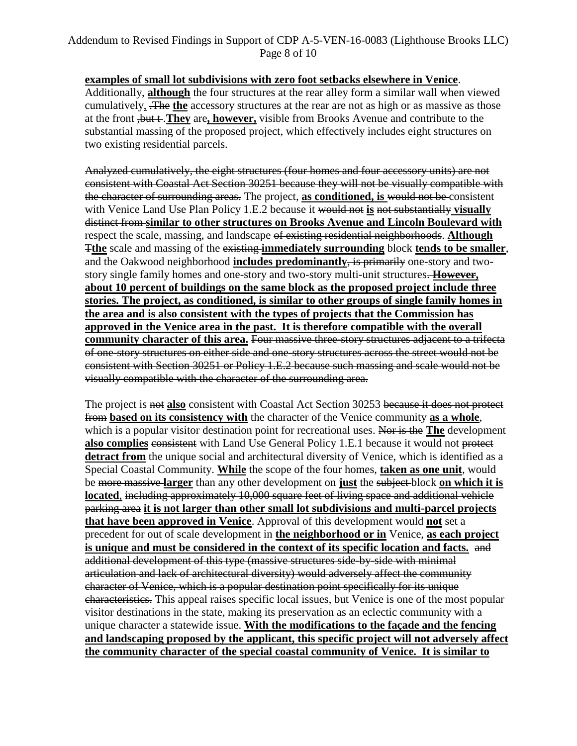**examples of small lot subdivisions with zero foot setbacks elsewhere in Venice**. Additionally, **although** the four structures at the rear alley form a similar wall when viewed cumulatively, .The **the** accessory structures at the rear are not as high or as massive as those at the front ,but t .**They** are**, however,** visible from Brooks Avenue and contribute to the substantial massing of the proposed project, which effectively includes eight structures on two existing residential parcels.

Analyzed cumulatively, the eight structures (four homes and four accessory units) are not consistent with Coastal Act Section 30251 because they will not be visually compatible with the character of surrounding areas. The project, **as conditioned, is** would not be consistent with Venice Land Use Plan Policy 1.E.2 because it would not **is** not substantially **visually**  distinct from **similar to other structures on Brooks Avenue and Lincoln Boulevard with** respect the scale, massing, and landscape of existing residential neighborhoods. **Although** T**the** scale and massing of the existing **immediately surrounding** block **tends to be smaller**, and the Oakwood neighborhood **includes predominantly**, is primarily one-story and twostory single family homes and one-story and two-story multi-unit structures. **However, about 10 percent of buildings on the same block as the proposed project include three stories. The project, as conditioned, is similar to other groups of single family homes in the area and is also consistent with the types of projects that the Commission has approved in the Venice area in the past. It is therefore compatible with the overall community character of this area.** Four massive three-story structures adjacent to a trifecta of one-story structures on either side and one-story structures across the street would not be consistent with Section 30251 or Policy 1.E.2 because such massing and scale would not be visually compatible with the character of the surrounding area.

The project is not **also** consistent with Coastal Act Section 30253 because it does not protect from **based on its consistency with** the character of the Venice community **as a whole**, which is a popular visitor destination point for recreational uses. Nor is the **The** development also complies consistent with Land Use General Policy 1.E.1 because it would not protect **detract from** the unique social and architectural diversity of Venice, which is identified as a Special Coastal Community. **While** the scope of the four homes, **taken as one unit**, would be more massive **larger** than any other development on **just** the subject block **on which it is located**, including approximately 10,000 square feet of living space and additional vehicle parking area **it is not larger than other small lot subdivisions and multi-parcel projects that have been approved in Venice**. Approval of this development would **not** set a precedent for out of scale development in **the neighborhood or in** Venice, **as each project is unique and must be considered in the context of its specific location and facts.** and additional development of this type (massive structures side-by-side with minimal articulation and lack of architectural diversity) would adversely affect the community character of Venice, which is a popular destination point specifically for its unique characteristics. This appeal raises specific local issues, but Venice is one of the most popular visitor destinations in the state, making its preservation as an eclectic community with a unique character a statewide issue. **With the modifications to the façade and the fencing and landscaping proposed by the applicant, this specific project will not adversely affect the community character of the special coastal community of Venice. It is similar to**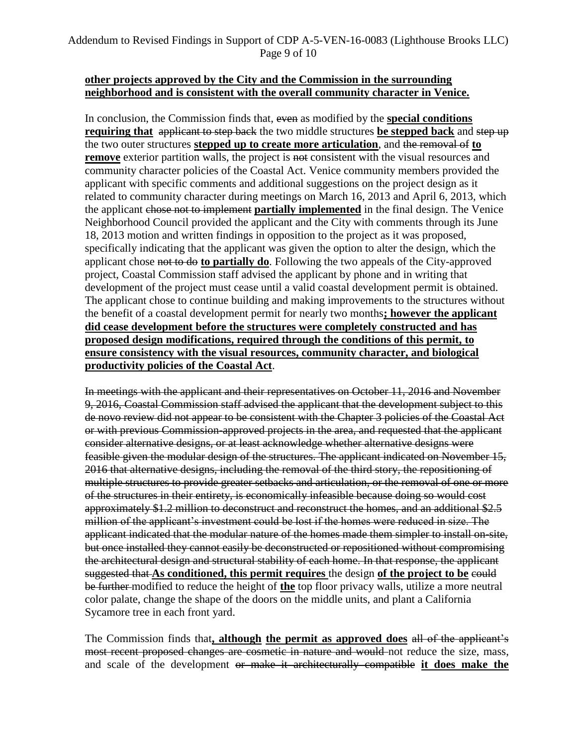### Addendum to Revised Findings in Support of CDP A-5-VEN-16-0083 (Lighthouse Brooks LLC) Page 9 of 10

#### **other projects approved by the City and the Commission in the surrounding neighborhood and is consistent with the overall community character in Venice.**

In conclusion, the Commission finds that, even as modified by the **special conditions requiring that** applicant to step back the two middle structures be stepped back and step up the two outer structures **stepped up to create more articulation**, and the removal of **to remove** exterior partition walls, the project is not consistent with the visual resources and community character policies of the Coastal Act. Venice community members provided the applicant with specific comments and additional suggestions on the project design as it related to community character during meetings on March 16, 2013 and April 6, 2013, which the applicant chose not to implement **partially implemented** in the final design. The Venice Neighborhood Council provided the applicant and the City with comments through its June 18, 2013 motion and written findings in opposition to the project as it was proposed, specifically indicating that the applicant was given the option to alter the design, which the applicant chose not to do **to partially do**. Following the two appeals of the City-approved project, Coastal Commission staff advised the applicant by phone and in writing that development of the project must cease until a valid coastal development permit is obtained. The applicant chose to continue building and making improvements to the structures without the benefit of a coastal development permit for nearly two months**; however the applicant did cease development before the structures were completely constructed and has proposed design modifications, required through the conditions of this permit, to ensure consistency with the visual resources, community character, and biological productivity policies of the Coastal Act**.

In meetings with the applicant and their representatives on October 11, 2016 and November 9, 2016, Coastal Commission staff advised the applicant that the development subject to this de novo review did not appear to be consistent with the Chapter 3 policies of the Coastal Act or with previous Commission-approved projects in the area, and requested that the applicant consider alternative designs, or at least acknowledge whether alternative designs were feasible given the modular design of the structures. The applicant indicated on November 15, 2016 that alternative designs, including the removal of the third story, the repositioning of multiple structures to provide greater setbacks and articulation, or the removal of one or more of the structures in their entirety, is economically infeasible because doing so would cost approximately \$1.2 million to deconstruct and reconstruct the homes, and an additional \$2.5 million of the applicant's investment could be lost if the homes were reduced in size. The applicant indicated that the modular nature of the homes made them simpler to install on-site, but once installed they cannot easily be deconstructed or repositioned without compromising the architectural design and structural stability of each home. In that response, the applicant suggested that **As conditioned, this permit requires** the design **of the project to be** could be further modified to reduce the height of **the** top floor privacy walls, utilize a more neutral color palate, change the shape of the doors on the middle units, and plant a California Sycamore tree in each front yard.

The Commission finds that**, although the permit as approved does** all of the applicant's most recent proposed changes are cosmetic in nature and would not reduce the size, mass, and scale of the development or make it architecturally compatible **it does make the**